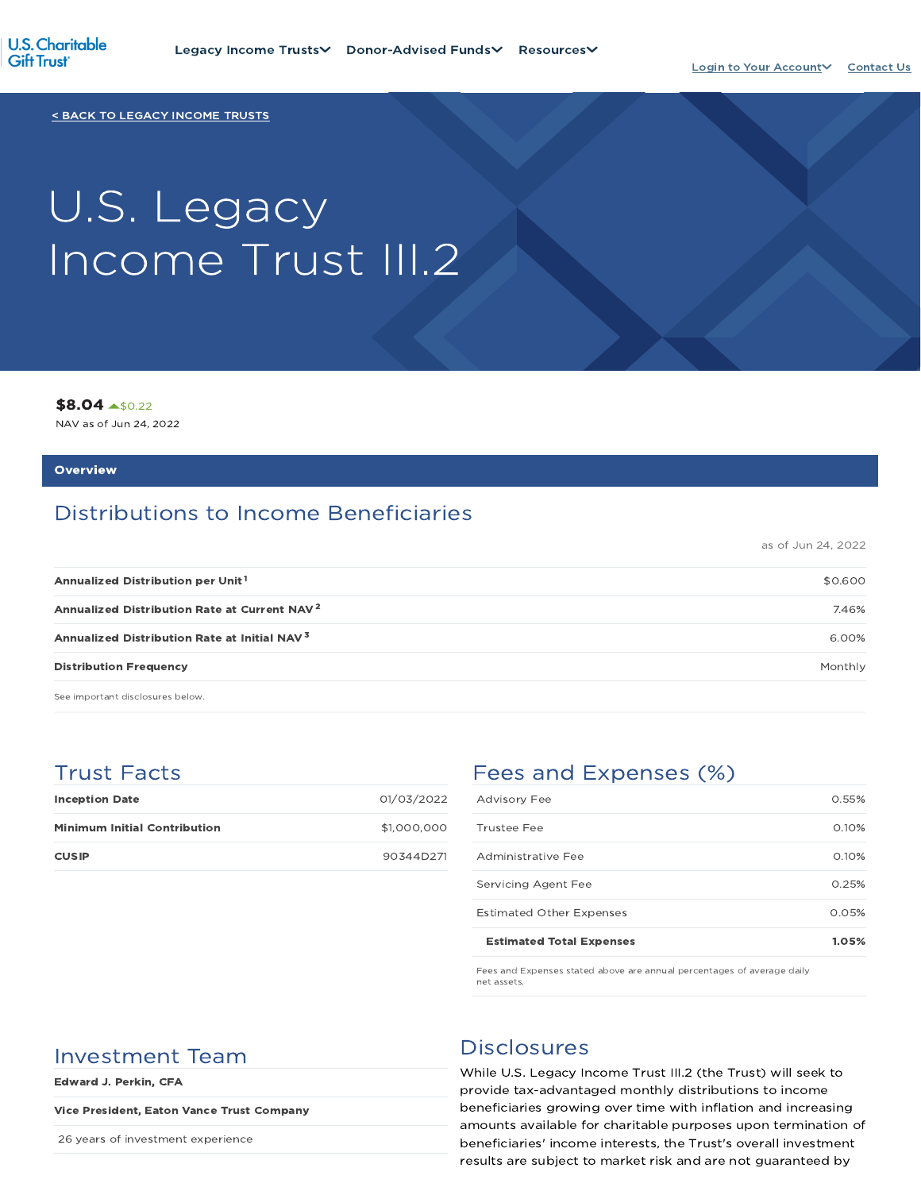

< BACK TO LEGACY INCOME TRUSTS

# U.S. Legacy Income Trust III.2

\$8.04 \$0.22

NAV as of Jun 24, 2022

#### **Overview**

# Distributions to Income Beneficiaries

as of Jun 24, 2022

| <b>Distribution Frequency</b>                            | Monthly |
|----------------------------------------------------------|---------|
| Annualized Distribution Rate at Initial NAV <sup>3</sup> | 6.00%   |
| Annualized Distribution Rate at Current NAV <sup>2</sup> | 7.46%   |
| Annualized Distribution per Unit <sup>1</sup>            | \$0.600 |
|                                                          |         |

See important disclosures below.

## Trust Facts

| <b>Inception Date</b>               | 01/03/2022  |
|-------------------------------------|-------------|
| <b>Minimum Initial Contribution</b> | \$1,000,000 |
| <b>CUSIP</b>                        | 90344D271   |

# Fees and Expenses (%)

| <b>Estimated Total Expenses</b> | 1.05% |
|---------------------------------|-------|
| <b>Estimated Other Expenses</b> | 0.05% |
| Servicing Agent Fee             | 0.25% |
| Administrative Fee              | 0.10% |
| Trustee Fee                     | 0.10% |
| <b>Advisory Fee</b>             | 0.55% |

Fees and Expenses stated above are annual percentages of average daily net assets.

# Investment Team Disclosures

Edward J. Perkin, CFA

#### Vice President, Eaton Vance Trust Company

26 years of investment experience

While U.S. Legacy Income Trust III.2 (the Trust) will seek to provide tax-advantaged monthly distributions to income beneficiaries growing over time with inflation and increasing amounts available for charitable purposes upon termination of beneficiaries' income interests, the Trust's overall investment results are subject to market risk and are not guaranteed by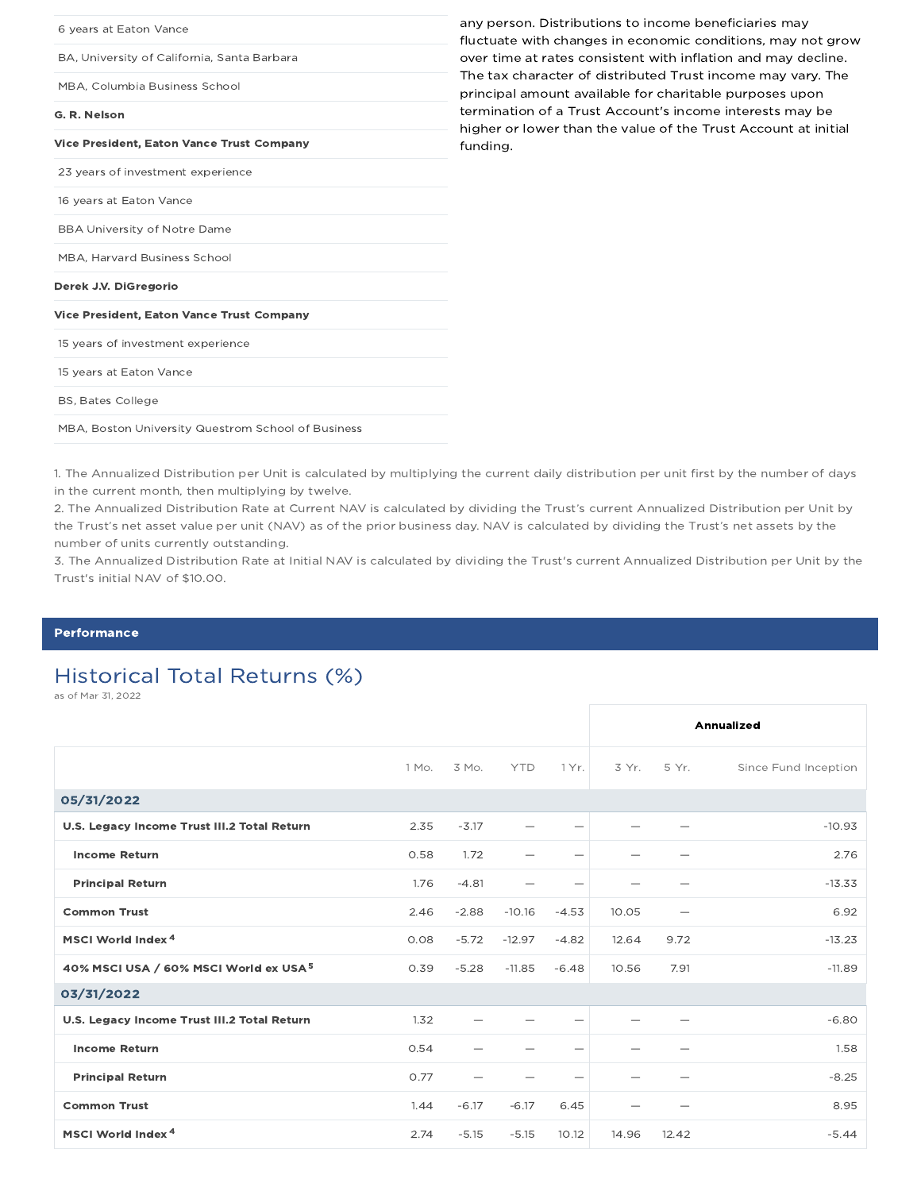| 6 years at Eaton Vance                             | any person. Distributions to income beneficiaries may<br>fluctuate with changes in economic conditions, may not grow       |
|----------------------------------------------------|----------------------------------------------------------------------------------------------------------------------------|
| BA, University of California, Santa Barbara        | over time at rates consistent with inflation and may decline.                                                              |
| MBA, Columbia Business School                      | The tax character of distributed Trust income may vary. The<br>principal amount available for charitable purposes upon     |
| G. R. Nelson                                       | termination of a Trust Account's income interests may be<br>higher or lower than the value of the Trust Account at initial |
| <b>Vice President, Eaton Vance Trust Company</b>   | funding.                                                                                                                   |
| 23 years of investment experience                  |                                                                                                                            |
| 16 years at Eaton Vance                            |                                                                                                                            |
| <b>BBA University of Notre Dame</b>                |                                                                                                                            |
| <b>MBA. Harvard Business School</b>                |                                                                                                                            |
| Derek J.V. DiGregorio                              |                                                                                                                            |
| <b>Vice President, Eaton Vance Trust Company</b>   |                                                                                                                            |
| 15 years of investment experience                  |                                                                                                                            |
| 15 years at Eaton Vance                            |                                                                                                                            |
| <b>BS, Bates College</b>                           |                                                                                                                            |
| MBA, Boston University Questrom School of Business |                                                                                                                            |

1. The Annualized Distribution per Unit is calculated by multiplying the current daily distribution per unit first by the number of days in the current month, then multiplying by twelve.

2. The Annualized Distribution Rate at Current NAV is calculated by dividing the Trust's current Annualized Distribution per Unit by the Trust's net asset value per unit (NAV) as of the prior business day. NAV is calculated by dividing the Trust's net assets by the number of units currently outstanding.

3. The Annualized Distribution Rate at Initial NAV is calculated by dividing the Trust's current Annualized Distribution per Unit by the Trust's initial NAV of \$10.00.

#### Performance

# Historical Total Returns (%)

as of Mar 31, 2022

|                                                   |       |         |            |                          |       |       | Annualized           |
|---------------------------------------------------|-------|---------|------------|--------------------------|-------|-------|----------------------|
|                                                   | 1 Mo. | 3 Mo.   | <b>YTD</b> | 1 Yr.                    | 3 Yr. | 5 Yr. | Since Fund Inception |
| 05/31/2022                                        |       |         |            |                          |       |       |                      |
| U.S. Legacy Income Trust III.2 Total Return       | 2.35  | $-3.17$ |            | -                        |       |       | $-10.93$             |
| <b>Income Return</b>                              | 0.58  | 1.72    |            | —                        |       |       | 2.76                 |
| <b>Principal Return</b>                           | 1.76  | $-4.81$ |            |                          |       |       | $-13.33$             |
| <b>Common Trust</b>                               | 2.46  | $-2.88$ | $-10.16$   | $-4.53$                  | 10.05 |       | 6.92                 |
| MSCI World Index <sup>4</sup>                     | 0.08  | $-5.72$ | $-12.97$   | $-4.82$                  | 12.64 | 9.72  | $-13.23$             |
| 40% MSCI USA / 60% MSCI World ex USA <sup>5</sup> | 0.39  | $-5.28$ | $-11.85$   | $-6.48$                  | 10.56 | 7.91  | $-11.89$             |
| 03/31/2022                                        |       |         |            |                          |       |       |                      |
| U.S. Legacy Income Trust III.2 Total Return       | 1.32  |         |            | $\overline{\phantom{0}}$ |       |       | $-6.80$              |
| <b>Income Return</b>                              | 0.54  |         |            | -                        |       |       | 1.58                 |
| <b>Principal Return</b>                           | 0.77  |         |            | -                        |       |       | $-8.25$              |
| <b>Common Trust</b>                               | 1.44  | $-6.17$ | $-6.17$    | 6.45                     |       |       | 8.95                 |
| MSCI World Index <sup>4</sup>                     | 2.74  | $-5.15$ | $-5.15$    | 10.12                    | 14.96 | 12.42 | $-5.44$              |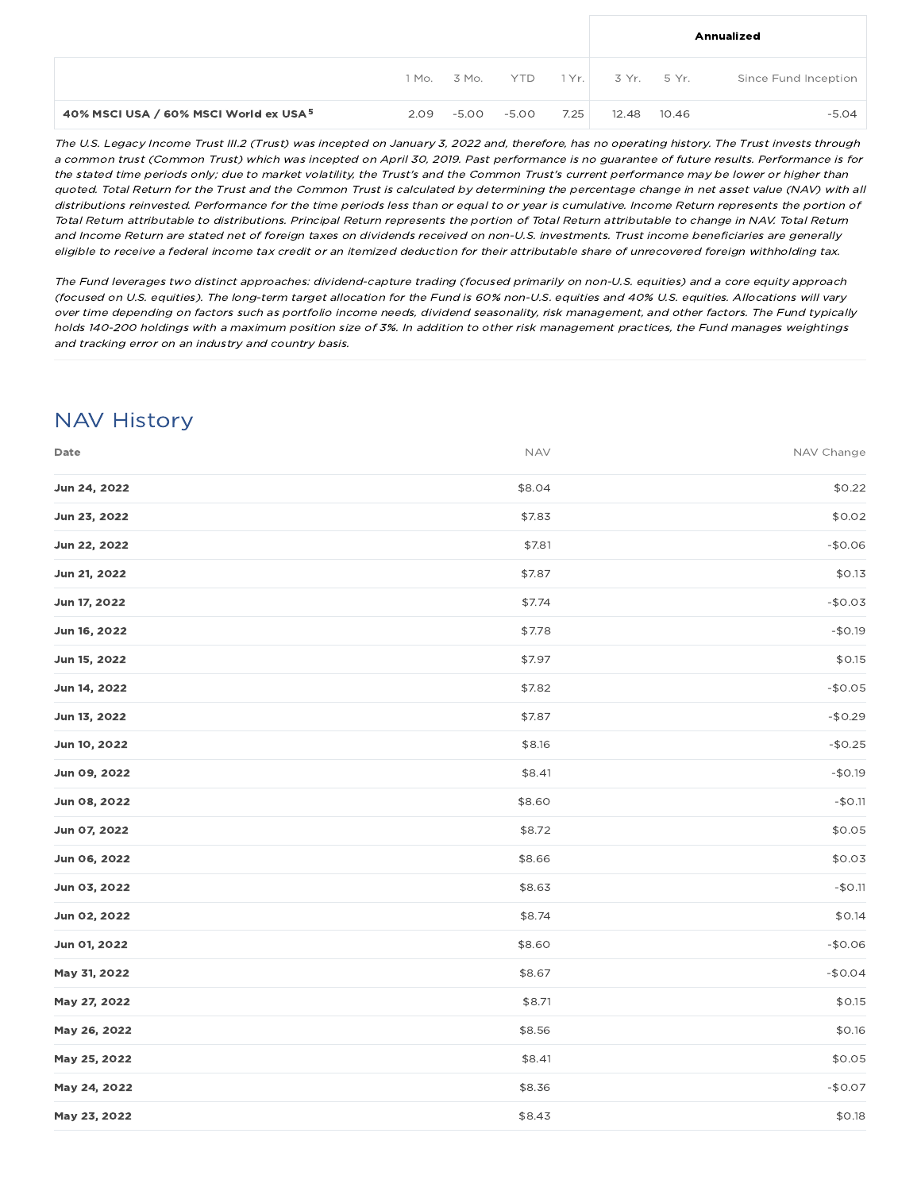|                                                   |      |       |       |      | Annualized |       |                                                        |
|---------------------------------------------------|------|-------|-------|------|------------|-------|--------------------------------------------------------|
|                                                   |      |       |       |      |            |       | 1 Mo. 3 Mo. YTD 1 Yr. 3 Yr. 5 Yr. Since Fund Inception |
| 40% MSCI USA / 60% MSCI World ex USA <sup>5</sup> | 2.09 | -5.00 | -5.00 | 7.25 | 12.48      | 10.46 | $-5.04$                                                |

The U.S. Legacy Income Trust III.2 (Trust) was incepted on January 3, 2022 and, therefore, has no operating history. The Trust invests through <sup>a</sup> common trust (Common Trust) which was incepted on April 30, 2019. Past performance is no guarantee of future results. Performance is for the stated time periods only; due to market volatility, the Trust's and the Common Trust's current performance may be lower or higher than quoted. Total Return for the Trust and the Common Trust is calculated by determining the percentage change in net asset value (NAV) with all distributions reinvested. Performance for the time periods less than or equal to or year is cumulative. Income Return represents the portion of Total Return attributable to distributions. Principal Return represents the portion of Total Return attributable to change in NAV. Total Return and Income Return are stated net of foreign taxes on dividends received on non-U.S. investments. Trust income beneficiaries are generally eligible to receive <sup>a</sup> federal income tax credit or an itemized deduction for their attributable share of unrecovered foreign withholding tax.

The Fund leverages two distinct approaches: dividend-capture trading (focused primarily on non-U.S. equities) and <sup>a</sup> core equity approach (focused on U.S. equities). The long-term target allocation for the Fund is 60% non-U.S. equities and 40% U.S. equities. Allocations will vary over time depending on factors such as portfolio income needs, dividend seasonality, risk management, and other factors. The Fund typically holds 140-200 holdings with <sup>a</sup> maximum position size of 3%. In addition to other risk management practices, the Fund manages weightings and tracking error on an industry and country basis.

# NAV History

| Date         | <b>NAV</b> | NAV Change |
|--------------|------------|------------|
| Jun 24, 2022 | \$8.04     | \$0.22     |
| Jun 23, 2022 | \$7.83     | \$0.02     |
| Jun 22, 2022 | \$7.81     | $-$0.06$   |
| Jun 21, 2022 | \$7.87     | \$0.13     |
| Jun 17, 2022 | \$7.74     | $-$0.03$   |
| Jun 16, 2022 | \$7.78     | $-$0.19$   |
| Jun 15, 2022 | \$7.97     | \$0.15     |
| Jun 14, 2022 | \$7.82     | $-$0.05$   |
| Jun 13, 2022 | \$7.87     | $-$0.29$   |
| Jun 10, 2022 | \$8.16     | $-$0.25$   |
| Jun 09, 2022 | \$8.41     | $-$0.19$   |
| Jun 08, 2022 | \$8.60     | $-$0.11$   |
| Jun 07, 2022 | \$8.72     | \$0.05     |
| Jun 06, 2022 | \$8.66     | \$0.03     |
| Jun 03, 2022 | \$8.63     | $-$0.11$   |
| Jun 02, 2022 | \$8.74     | \$0.14     |
| Jun 01, 2022 | \$8.60     | $-$0.06$   |
| May 31, 2022 | \$8.67     | $-$0.04$   |
| May 27, 2022 | \$8.71     | \$0.15     |
| May 26, 2022 | \$8.56     | \$0.16     |
| May 25, 2022 | \$8.41     | \$0.05     |
| May 24, 2022 | \$8.36     | $-$0.07$   |
| May 23, 2022 | \$8.43     | \$0.18     |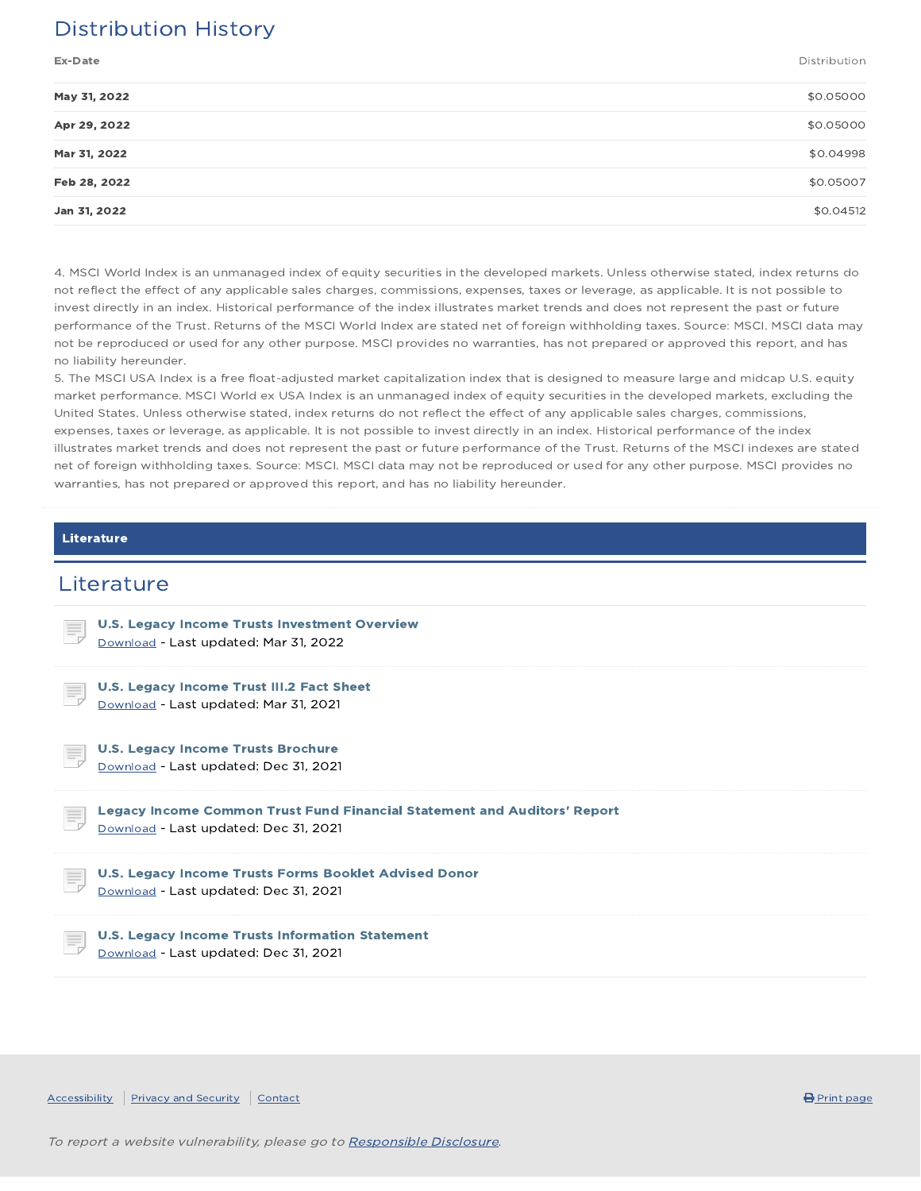# Distribution History

Ex-Date Distribution

| \$0.05000 |
|-----------|
|           |
| \$0.05000 |
| \$0.04998 |
| \$0.05007 |
| \$0.04512 |
|           |

4. MSCI World Index is an unmanaged index of equity securities in the developed markets. Unless otherwise stated, index returns do not reflect the effect of any applicable sales charges, commissions, expenses, taxes or leverage, as applicable. It is not possible to invest directly in an index. Historical performance of the index illustrates market trends and does not represent the past or future performance of the Trust. Returns of the MSCI World Index are stated net of foreign withholding taxes. Source: MSCI. MSCI data may not be reproduced or used for any other purpose. MSCI provides no warranties, has not prepared or approved this report, and has no liability hereunder.

5. The MSCI USA Index is a free float-adjusted market capitalization index that is designed to measure large and midcap U.S. equity market performance. MSCI World ex USA Index is an unmanaged index of equity securities in the developed markets, excluding the United States. Unless otherwise stated, index returns do not reflect the effect of any applicable sales charges, commissions, expenses, taxes or leverage, as applicable. It is not possible to invest directly in an index. Historical performance of the index illustrates market trends and does not represent the past or future performance of the Trust. Returns of the MSCI indexes are stated net of foreign withholding taxes. Source: MSCI. MSCI data may not be reproduced or used for any other purpose. MSCI provides no warranties, has not prepared or approved this report, and has no liability hereunder.

#### Literature

### **Literature**

| U.S. Legacy Income Trusts Investment Overview<br>E,<br>Download - Last updated: Mar 31, 2022                           |  |
|------------------------------------------------------------------------------------------------------------------------|--|
| U.S. Legacy Income Trust III.2 Fact Sheet<br>ŧ,<br>Download - Last updated: Mar 31, 2021                               |  |
| <b>U.S. Legacy Income Trusts Brochure</b><br>E,<br>Download - Last updated: Dec 31, 2021                               |  |
|                                                                                                                        |  |
| Legacy Income Common Trust Fund Financial Statement and Auditors' Report<br>Ę<br>Download - Last updated: Dec 31, 2021 |  |
| U.S. Legacy Income Trusts Forms Booklet Advised Donor<br>E,<br>Download - Last updated: Dec 31, 2021                   |  |

Accessibility Privacy and Security Contact **Contact Contact Contact Contact Contact Contact Contact** Print page